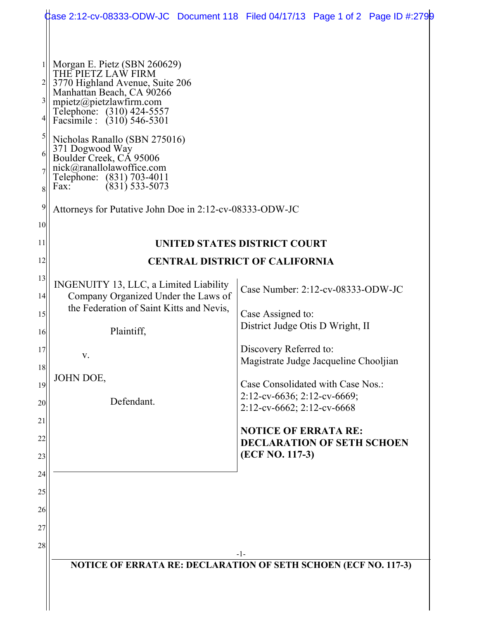|                                                                                            |                                                                                                                                                                                                                                                                                                                                                                                                                                          | Case 2:12-cv-08333-ODW-JC Document 118 Filed 04/17/13 Page 1 of 2 Page ID #:2799                  |  |
|--------------------------------------------------------------------------------------------|------------------------------------------------------------------------------------------------------------------------------------------------------------------------------------------------------------------------------------------------------------------------------------------------------------------------------------------------------------------------------------------------------------------------------------------|---------------------------------------------------------------------------------------------------|--|
| $\frac{3}{2}$<br>$\mathfrak{h}$<br>6<br>$\frac{8}{3}$<br>$\overline{9}$<br>10 <sup>1</sup> | Morgan E. Pietz (SBN 260629)<br>THE PIETZ LAW FIRM<br>3770 Highland Avenue, Suite 206<br>Manhattan Beach, CA 90266<br>mpietz@pietzlawfirm.com<br>Telephone: (310) 424-5557<br>Facsimile : (310) 546-5301<br>Nicholas Ranallo (SBN 275016)<br>371 Dogwood Way<br>Boulder Creek, CA 95006<br>nick@ranallolawoffice.com<br>Telephone: (831) 703-4011<br>$(831)$ 533-5073<br>Fax:<br>Attorneys for Putative John Doe in 2:12-cv-08333-ODW-JC |                                                                                                   |  |
| 11                                                                                         | <b>UNITED STATES DISTRICT COURT</b>                                                                                                                                                                                                                                                                                                                                                                                                      |                                                                                                   |  |
| 12                                                                                         | <b>CENTRAL DISTRICT OF CALIFORNIA</b>                                                                                                                                                                                                                                                                                                                                                                                                    |                                                                                                   |  |
| 13<br> 14                                                                                  | INGENUITY 13, LLC, a Limited Liability<br>Company Organized Under the Laws of<br>the Federation of Saint Kitts and Nevis,                                                                                                                                                                                                                                                                                                                | Case Number: 2:12-cv-08333-ODW-JC                                                                 |  |
| 15<br>16                                                                                   | Plaintiff,                                                                                                                                                                                                                                                                                                                                                                                                                               | Case Assigned to:<br>District Judge Otis D Wright, II                                             |  |
| 17<br>18                                                                                   | V.                                                                                                                                                                                                                                                                                                                                                                                                                                       | Discovery Referred to:<br>Magistrate Judge Jacqueline Chooljian                                   |  |
| 19<br>20                                                                                   | JOHN DOE,<br>Defendant.                                                                                                                                                                                                                                                                                                                                                                                                                  | Case Consolidated with Case Nos.:<br>$2:12$ -cv-6636; 2:12-cv-6669;<br>2:12-cv-6662; 2:12-cv-6668 |  |
| 21<br>22<br>23                                                                             |                                                                                                                                                                                                                                                                                                                                                                                                                                          | <b>NOTICE OF ERRATA RE:</b><br><b>DECLARATION OF SETH SCHOEN</b><br>(ECF NO. 117-3)               |  |
| 24<br>25                                                                                   |                                                                                                                                                                                                                                                                                                                                                                                                                                          |                                                                                                   |  |
| 26                                                                                         |                                                                                                                                                                                                                                                                                                                                                                                                                                          |                                                                                                   |  |
| 27                                                                                         |                                                                                                                                                                                                                                                                                                                                                                                                                                          |                                                                                                   |  |
| 28                                                                                         |                                                                                                                                                                                                                                                                                                                                                                                                                                          | -1-                                                                                               |  |
|                                                                                            | NOTICE OF ERRATA RE: DECLARATION OF SETH SCHOEN (ECF NO. 117-3)                                                                                                                                                                                                                                                                                                                                                                          |                                                                                                   |  |
|                                                                                            |                                                                                                                                                                                                                                                                                                                                                                                                                                          |                                                                                                   |  |